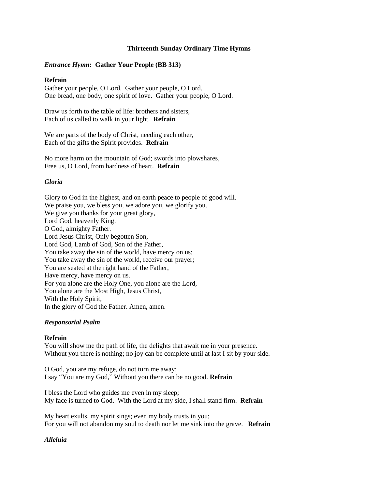### **Thirteenth Sunday Ordinary Time Hymns**

### *Entrance Hymn***: Gather Your People (BB 313)**

### **Refrain**

Gather your people, O Lord. Gather your people, O Lord. One bread, one body, one spirit of love. Gather your people, O Lord.

Draw us forth to the table of life: brothers and sisters, Each of us called to walk in your light. **Refrain**

We are parts of the body of Christ, needing each other, Each of the gifts the Spirit provides. **Refrain**

No more harm on the mountain of God; swords into plowshares, Free us, O Lord, from hardness of heart. **Refrain**

### *Gloria*

Glory to God in the highest, and on earth peace to people of good will. We praise you, we bless you, we adore you, we glorify you. We give you thanks for your great glory, Lord God, heavenly King. O God, almighty Father. Lord Jesus Christ, Only begotten Son, Lord God, Lamb of God, Son of the Father, You take away the sin of the world, have mercy on us; You take away the sin of the world, receive our prayer; You are seated at the right hand of the Father, Have mercy, have mercy on us. For you alone are the Holy One, you alone are the Lord, You alone are the Most High, Jesus Christ, With the Holy Spirit, In the glory of God the Father. Amen, amen.

#### *Responsorial Psalm*

#### **Refrain**

You will show me the path of life, the delights that await me in your presence. Without you there is nothing; no joy can be complete until at last I sit by your side.

O God, you are my refuge, do not turn me away; I say "You are my God," Without you there can be no good. **Refrain**

I bless the Lord who guides me even in my sleep; My face is turned to God. With the Lord at my side, I shall stand firm. **Refrain**

My heart exults, my spirit sings; even my body trusts in you; For you will not abandon my soul to death nor let me sink into the grave. **Refrain**

## *Alleluia*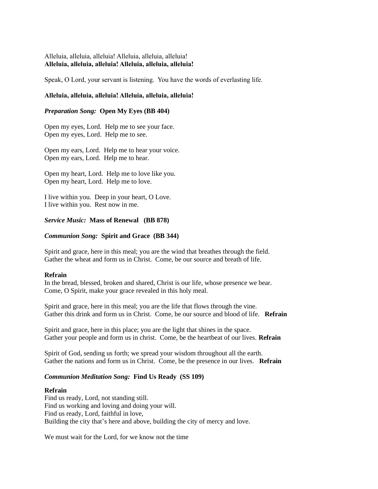# Alleluia, alleluia, alleluia! Alleluia, alleluia, alleluia! **Alleluia, alleluia, alleluia! Alleluia, alleluia, alleluia!**

Speak, O Lord, your servant is listening. You have the words of everlasting life.

### **Alleluia, alleluia, alleluia! Alleluia, alleluia, alleluia!**

### *Preparation Song:* **Open My Eyes (BB 404)**

Open my eyes, Lord. Help me to see your face. Open my eyes, Lord. Help me to see.

Open my ears, Lord. Help me to hear your voice. Open my ears, Lord. Help me to hear.

Open my heart, Lord. Help me to love like you. Open my heart, Lord. Help me to love.

I live within you. Deep in your heart, O Love. I live within you. Rest now in me.

### *Service Music:* **Mass of Renewal (BB 878)**

### *Communion Song:* **Spirit and Grace (BB 344)**

Spirit and grace, here in this meal; you are the wind that breathes through the field. Gather the wheat and form us in Christ. Come, be our source and breath of life.

#### **Refrain**

In the bread, blessed, broken and shared, Christ is our life, whose presence we bear. Come, O Spirit, make your grace revealed in this holy meal.

Spirit and grace, here in this meal; you are the life that flows through the vine. Gather this drink and form us in Christ. Come, be our source and blood of life. **Refrain**

Spirit and grace, here in this place; you are the light that shines in the space. Gather your people and form us in christ. Come, be the heartbeat of our lives. **Refrain**

Spirit of God, sending us forth; we spread your wisdom throughout all the earth. Gather the nations and form us in Christ. Come, be the presence in our lives. **Refrain**

## *Communion Meditation Song:* **Find Us Ready (SS 109)**

#### **Refrain**

Find us ready, Lord, not standing still. Find us working and loving and doing your will. Find us ready, Lord, faithful in love, Building the city that's here and above, building the city of mercy and love.

We must wait for the Lord, for we know not the time